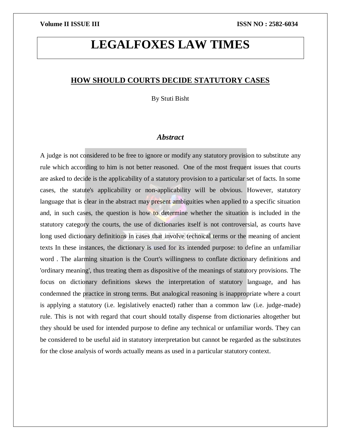# **LEGALFOXES LAW TIMES**

### **HOW SHOULD COURTS DECIDE STATUTORY CASES**

By Stuti Bisht

### *Abstract*

A judge is not considered to be free to ignore or modify any statutory provision to substitute any rule which according to him is not better reasoned. One of the most frequent issues that courts are asked to decide is the applicability of a statutory provision to a particular set of facts. In some cases, the statute's applicability or non-applicability will be obvious. However, statutory language that is clear in the abstract may present ambiguities when applied to a specific situation and, in such cases, the question is how to determine whether the situation is included in the statutory category the courts, the use of dictionaries itself is not controversial, as courts have long used dictionary definitions in cases that involve technical terms or the meaning of ancient texts In these instances, the dictionary is used for its intended purpose: to define an unfamiliar word . The alarming situation is the Court's willingness to conflate dictionary definitions and 'ordinary meaning', thus treating them as dispositive of the meanings of statutory provisions. The focus on dictionary definitions skews the interpretation of statutory language, and has condemned the practice in strong terms. But analogical reasoning is inappropriate where a court is applying a statutory (i.e. legislatively enacted) rather than a common law (i.e. judge-made) rule. This is not with regard that court should totally dispense from dictionaries altogether but they should be used for intended purpose to define any technical or unfamiliar words. They can be considered to be useful aid in statutory interpretation but cannot be regarded as the substitutes for the close analysis of words actually means as used in a particular statutory context.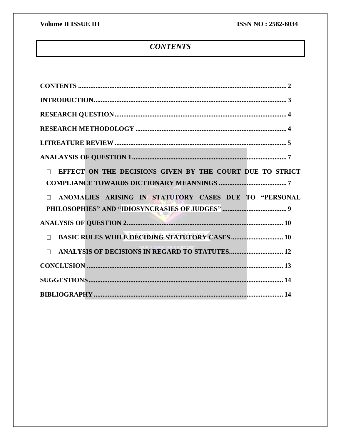## **CONTENTS**

<span id="page-1-0"></span>

| EFFECT ON THE DECISIONS GIVEN BY THE COURT DUE TO STRICT        |  |
|-----------------------------------------------------------------|--|
|                                                                 |  |
| ANOMALIES ARISING IN STATUTORY CASES DUE TO "PERSONAL<br>$\Box$ |  |
|                                                                 |  |
|                                                                 |  |
| <b>BASIC RULES WHILE DECIDING STATUTORY CASES  10</b><br>$\Box$ |  |
| ANALYSIS OF DECISIONS IN REGARD TO STATUTES 12<br>$\Box$        |  |
|                                                                 |  |
|                                                                 |  |
|                                                                 |  |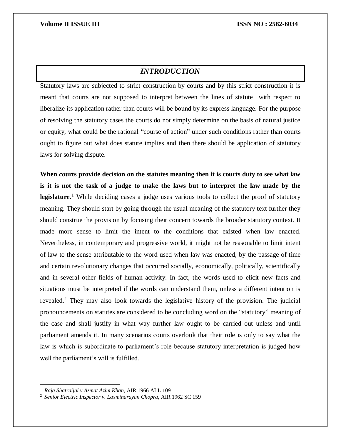## *INTRODUCTION*

<span id="page-2-0"></span>Statutory laws are subjected to strict construction by courts and by this strict construction it is meant that courts are not supposed to interpret between the lines of statute with respect to liberalize its application rather than courts will be bound by its express language. For the purpose of resolving the statutory cases the courts do not simply determine on the basis of natural justice or equity, what could be the rational "course of action" under such conditions rather than courts ought to figure out what does statute implies and then there should be application of statutory laws for solving dispute.

**When courts provide decision on the statutes meaning then it is courts duty to see what law is it is not the task of a judge to make the laws but to interpret the law made by the legislature**. <sup>1</sup> While deciding cases a judge uses various tools to collect the proof of statutory meaning. They should start by going through the usual meaning of the statutory text further they should construe the provision by focusing their concern towards the broader statutory context. It made more sense to limit the intent to the conditions that existed when law enacted. Nevertheless, in contemporary and progressive world, it might not be reasonable to limit intent of law to the sense attributable to the word used when law was enacted, by the passage of time and certain revolutionary changes that occurred socially, economically, politically, scientifically and in several other fields of human activity. In fact, the words used to elicit new facts and situations must be interpreted if the words can understand them, unless a different intention is revealed.<sup>2</sup> They may also look towards the legislative history of the provision. The judicial pronouncements on statutes are considered to be concluding word on the "statutory" meaning of the case and shall justify in what way further law ought to be carried out unless and until parliament amends it. In many scenarios courts overlook that their role is only to say what the law is which is subordinate to parliament's role because statutory interpretation is judged how well the parliament's will is fulfilled.

<sup>1</sup> "*Raja Shatraijal v Azmat Azim Khan*, AIR 1966 ALL 109

<sup>2</sup> "*Senior Electric Inspector v. Laxminarayan Chopra*, AIR 1962 SC 159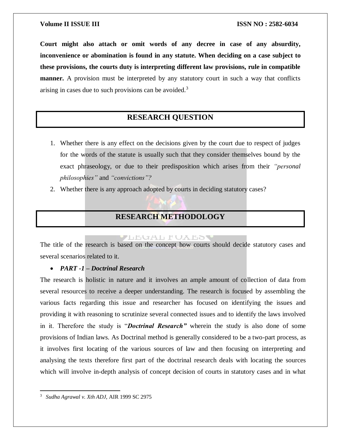**Court might also attach or omit words of any decree in case of any absurdity, inconvenience or abomination is found in any statute. When deciding on a case subject to these provisions, the courts duty is interpreting different law provisions, rule in compatible manner.** A provision must be interpreted by any statutory court in such a way that conflicts arising in cases due to such provisions can be avoided. $3$ 

## **RESEARCH QUESTION**

- <span id="page-3-0"></span>1. Whether there is any effect on the decisions given by the court due to respect of judges for the words of the statute is usually such that they consider themselves bound by the exact phraseology, or due to their predisposition which arises from their *"personal philosophies"* and *"convictions"?*
- <span id="page-3-1"></span>2. Whether there is any approach adopted by courts in deciding statutory cases?

## **RESEARCH METHODOLOGY**

#### ZLEUAL FUALOS

The title of the research is based on the concept how courts should decide statutory cases and several scenarios related to it.

### *PART -1 – Doctrinal Research*

The research is holistic in nature and it involves an ample amount of collection of data from several resources to receive a deeper understanding. The research is focused by assembling the various facts regarding this issue and researcher has focused on identifying the issues and providing it with reasoning to scrutinize several connected issues and to identify the laws involved in it. Therefore the study is "*Doctrinal Research"* wherein the study is also done of some provisions of Indian laws. As Doctrinal method is generally considered to be a two-part process, as it involves first locating of the various sources of law and then focusing on interpreting and analysing the texts therefore first part of the doctrinal research deals with locating the sources which will involve in-depth analysis of concept decision of courts in statutory cases and in what

 $\overline{a}$ 3 "*Sudha Agrawal v. Xth ADJ*, AIR 1999 SC 2975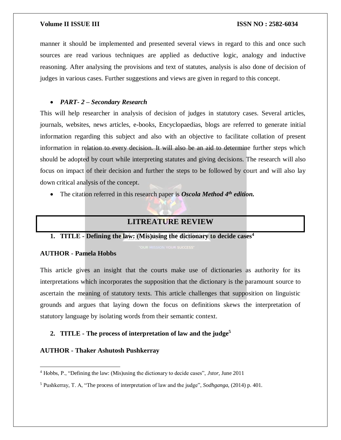manner it should be implemented and presented several views in regard to this and once such sources are read various techniques are applied as deductive logic, analogy and inductive reasoning. After analysing the provisions and text of statutes, analysis is also done of decision of judges in various cases. Further suggestions and views are given in regard to this concept.

#### *PART- 2 – Secondary Research*

This will help researcher in analysis of decision of judges in statutory cases. Several articles, journals, websites, news articles, e-books, Encyclopaedias, blogs are referred to generate initial information regarding this subject and also with an objective to facilitate collation of present information in relation to every decision. It will also be an aid to determine further steps which should be adopted by court while interpreting statutes and giving decisions. The research will also focus on impact of their decision and further the steps to be followed by court and will also lay down critical analysis of the concept.

<span id="page-4-0"></span>The citation referred in this research paper is *Oscola Method 4th edition.*

## **LITREATURE REVIEW**

#### **1. TITLE - Defining the law: (Mis)using the dictionary to decide cases<sup>4</sup>**

#### **AUTHOR - Pamela Hobbs**

 $\overline{\phantom{a}}$ 

This article gives an insight that the courts make use of dictionaries as authority for its interpretations which incorporates the supposition that the dictionary is the paramount source to ascertain the meaning of statutory texts. This article challenges that supposition on linguistic grounds and argues that laying down the focus on definitions skews the interpretation of statutory language by isolating words from their semantic context.

### **2. TITLE - The process of interpretation of law and the judge<sup>5</sup>**

#### **AUTHOR - Thaker Ashutosh Pushkerray**

<sup>4</sup> Hobbs, P., "Defining the law: (Mis)using the dictionary to decide cases", *Jstor,* June 2011

<sup>5</sup> Pushkerray, T. A, "The process of interpretation of law and the judge", *Sodhganga*, (2014) p. 401.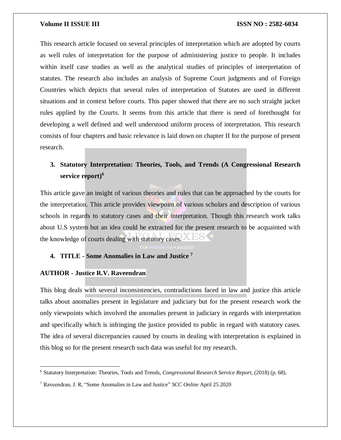This research article focused on several principles of interpretation which are adopted by courts as well rules of interpretation for the purpose of administering justice to people. It includes within itself case studies as well as the analytical studies of principles of interpretation of statutes. The research also includes an analysis of Supreme Court judgments and of Foreign Countries which depicts that several rules of interpretation of Statutes are used in different situations and in context before courts. This paper showed that there are no such straight jacket rules applied by the Courts. It seems from this article that there is need of forethought for developing a well defined and well understood uniform process of interpretation. This research consists of four chapters and basic relevance is laid down on chapter II for the purpose of present research.

## **3. Statutory Interpretation: Theories, Tools, and Trends (A Congressional Research service report)<sup>6</sup>**

This article gave an insight of various theories and rules that can be approached by the courts for the interpretation. This article provides viewpoint of various scholars and description of various schools in regards to statutory cases and their interpretation. Though this research work talks about U.S system but an idea could be extracted for the present research to be acquainted with the knowledge of courts dealing with statutory cases.

#### **4. TITLE - Some Anomalies in Law and Justice <sup>7</sup>**

#### **AUTHOR - Justice R.V. Raveendran**

 $\overline{\phantom{a}}$ 

This blog deals with several inconsistencies, contradictions faced in law and justice this article talks about anomalies present in legislature and judiciary but for the present research work the only viewpoints which involved the anomalies present in judiciary in regards with interpretation and specifically which is infringing the justice provided to public in regard with statutory cases. The idea of several discrepancies caused by courts in dealing with interpretation is explained in this blog so for the present research such data was useful for my research.

<sup>6</sup> Statutory Interpretation: Theories, Tools and Trends, *Congressional Research Service Report*, (2018) (p. 68).

<sup>7</sup> Raveendran, J. R, "Some Anomalies in Law and Justice" *SCC Online* April 25 2020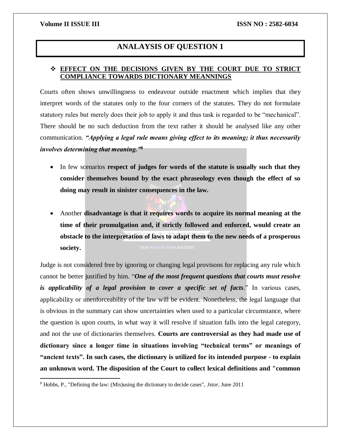$\overline{\phantom{a}}$ 

## **ANALAYSIS OF QUESTION 1**

### <span id="page-6-1"></span><span id="page-6-0"></span> **EFFECT ON THE DECISIONS GIVEN BY THE COURT DUE TO STRICT COMPLIANCE TOWARDS DICTIONARY MEANNINGS**

Courts often shows unwillingness to endeavour outside enactment which implies that they interpret words of the statutes only to the four corners of the statutes. They do not formulate statutory rules but merely does their job to apply it and thus task is regarded to be "mechanical". There should be no such deduction from the text rather it should be analysed like any other communication. *"Applying a legal rule means giving effect to its meaning; it thus necessarily involves determining that meaning."<sup>8</sup>*

- In few scenarios **respect of judges for words of the statute is usually such that they consider themselves bound by the exact phraseology even though the effect of so doing may result in sinister consequences in the law.**
- Another **disadvantage is that it requires words to acquire its normal meaning at the time of their promulgation and, if strictly followed and enforced, would create an obstacle to the interpretation of laws to adapt them to the new needs of a prosperous society.**

Judge is not considered free by ignoring or changing legal provisons for replacing any rule which cannot be better justified by him. "*One of the most frequent questions that courts must resolve is applicability of a legal provision to cover a specific set of facts*." In various cases, applicability or unenforceability of the law will be evident. Nonetheless, the legal language that is obvious in the summary can show uncertainties when used to a particular circumstance, where the question is upon courts, in what way it will resolve if situation falls into the legal category, and not the use of dictionaries themselves. **Courts are controversial as they had made use of dictionary since a longer time in situations involving "technical terms" or meanings of "ancient texts". In such cases, the dictionary is utilized for its intended purpose - to explain an unknown word. The disposition of the Court to collect lexical definitions and "common** 

<sup>8</sup> Hobbs, P., "Defining the law: (Mis)using the dictionary to decide cases", *Jstor,* June 2011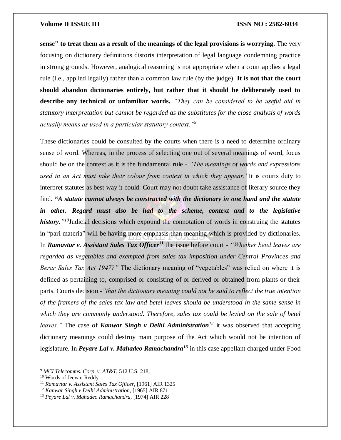**sense" to treat them as a result of the meanings of the legal provisions is worrying.** The very focusing on dictionary definitions distorts interpretation of legal language condemning practice in strong grounds. However, analogical reasoning is not appropriate when a court applies a legal rule (i.e., applied legally) rather than a common law rule (by the judge). **It is not that the court should abandon dictionaries entirely, but rather that it should be deliberately used to describe any technical or unfamiliar words.** *"They can be considered to be useful aid in statutory interpretation but cannot be regarded as the substitutes for the close analysis of words actually means as used in a particular statutory context."<sup>9</sup>*

These dictionaries could be consulted by the courts when there is a need to determine ordinary sense of word. Whereas, in the process of selecting one out of several meanings of word, focus should be on the context as it is the fundamental rule - *"The meanings of words and expressions used in an Act must take their colour from context in which they appear."*It is courts duty to interpret statutes as best way it could. Court may not doubt take assistance of literary source they find. **"***A statute cannot always be constructed with the dictionary in one hand and the statute*  in other. Regard must also be had to the scheme, context and to the legislative *history." <sup>10</sup>*Judicial decisions which expound the connotation of words in construing the statutes in "pari materia" will be having more emphasis than meaning which is provided by dictionaries. In *Ramavtar v. Assistant Sales Tax Officer***<sup>11</sup>** the issue before court - *"Whether betel leaves are regarded as vegetables and exempted from sales tax imposition under Central Provinces and Berar Sales Tax Act 1947?"* The dictionary meaning of "vegetables" was relied on where it is defined as pertaining to, comprised or consisting of or derived or obtained from plants or their parts. Courts decision *-"that the dictionary meaning could not be said to reflect the true intention of the framers of the sales tax law and betel leaves should be understood in the same sense in which they are commonly understood. Therefore, sales tax could be levied on the sale of betel leaves."* The case of *Kanwar Singh v Delhi Administration<sup>12</sup>* it was observed that accepting dictionary meanings could destroy main purpose of the Act which would not be intention of legislature. In *Peyare Lal v. Mahadeo Ramachandra<sup>13</sup>* in this case appellant charged under Food

<sup>9</sup> *MCI Telecomms. Corp. v. AT&T*, 512 U.S. 218,

<sup>10</sup> Words of Jeevan Reddy

<sup>11</sup> *Ramavtar v. Assistant Sales Tax Officer*, [1961] AIR 1325

<sup>12</sup> *Kanwar Singh v Delhi Administration*, [1965] AIR 871

<sup>13</sup> *Peyare Lal v. Mahadeo Ramachandra*, [1974] AIR 228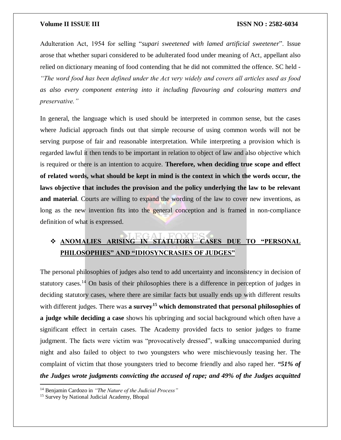Adulteration Act, 1954 for selling "*supari sweetened with lamed artificial sweetener*". Issue arose that whether supari considered to be adulterated food under meaning of Act, appellant also relied on dictionary meaning of food contending that he did not committed the offence. SC held - *"The word food has been defined under the Act very widely and covers all articles used as food as also every component entering into it including flavouring and colouring matters and preservative."*

In general, the language which is used should be interpreted in common sense, but the cases where Judicial approach finds out that simple recourse of using common words will not be serving purpose of fair and reasonable interpretation. While interpreting a provision which is regarded lawful it then tends to be important in relation to object of law and also objective which is required or there is an intention to acquire. **Therefore, when deciding true scope and effect of related words, what should be kept in mind is the context in which the words occur, the laws objective that includes the provision and the policy underlying the law to be relevant**  and material. Courts are willing to expand the wording of the law to cover new inventions, as long as the new invention fits into the general conception and is framed in non-compliance definition of what is expressed.

## <span id="page-8-0"></span> **ANOMALIES ARISING IN STATUTORY CASES DUE TO "PERSONAL PHILOSOPHIES" AND "IDIOSYNCRASIES OF JUDGES"**

The personal philosophies of judges also tend to add uncertainty and inconsistency in decision of statutory cases.<sup>14</sup> On basis of their philosophies there is a difference in perception of judges in deciding statutory cases, where there are similar facts but usually ends up with different results with different judges. There was **a survey<sup>15</sup> which demonstrated that personal philosophies of a judge while deciding a case** shows his upbringing and social background which often have a significant effect in certain cases. The Academy provided facts to senior judges to frame judgment. The facts were victim was "provocatively dressed", walking unaccompanied during night and also failed to object to two youngsters who were mischievously teasing her. The complaint of victim that those youngsters tried to become friendly and also raped her. *"51% of the Judges wrote judgments convicting the accused of rape; and 49% of the Judges acquitted* 

<sup>14</sup> Benjamin Cardozo in *"The Nature of the Judicial Process"*

<sup>&</sup>lt;sup>15</sup> Survey by National Judicial Academy, Bhopal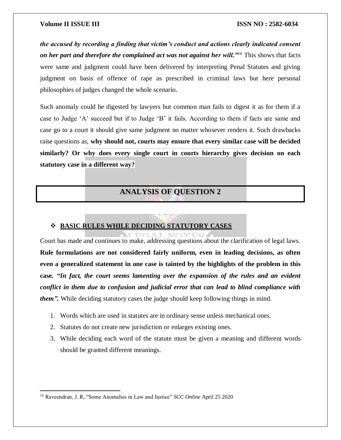*the accused by recording a finding that victim's conduct and actions clearly indicated consent on her part and therefore the complained act was not against her will."<sup>16</sup>* This shows that facts were same and judgment could have been delivered by interpreting Penal Statutes and giving judgment on basis of offence of rape as prescribed in criminal laws but here personal philosophies of judges changed the whole scenario.

Such anomaly could be digested by lawyers but common man fails to digest it as for them if a case to Judge 'A' succeed but if to Judge 'B' it fails. According to them if facts are same and case go to a court it should give same judgment no matter whosever renders it. Such drawbacks raise questions as, **why should not, courts may ensure that every similar case will be decided similarly? Or why does every single court in courts hierarchy gives decision on each statutory case in a different way?**

## **ANALYSIS OF QUESTION 2**

### <span id="page-9-1"></span><span id="page-9-0"></span>**BASIC RULES WHILE DECIDING STATUTORY CASES**

 $T \cup \cap \wedge T$ 

Court has made and continues to make, addressing questions about the clarification of legal laws. **Rule formulations are not considered fairly uniform, even in leading decisions, as often even a generalized statement in one case is tainted by the highlights of the problem in this case***. "In fact, the court seems lamenting over the expansion of the rules and an evident conflict in them due to confusion and judicial error that can lead to blind compliance with them".* While deciding statutory cases the judge should keep following things in mind.

Title

- 1. Words which are used in statutes are in ordinary sense unless mechanical ones.
- 2. Statutes do not create new jurisdiction or enlarges existing ones.
- 3. While deciding each word of the statute must be given a meaning and different words should be granted different meanings.

 $\overline{a}$ 

<sup>16</sup> Raveendran, J. R, "Some Anomalies in Law and Justice" *SCC Online* April 25 2020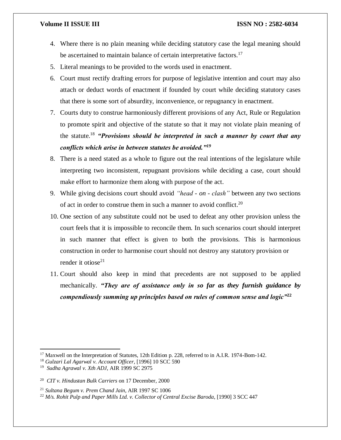- 4. Where there is no plain meaning while deciding statutory case the legal meaning should be ascertained to maintain balance of certain interpretative factors.<sup>17</sup>
- 5. Literal meanings to be provided to the words used in enactment.
- 6. Court must rectify drafting errors for purpose of legislative intention and court may also attach or deduct words of enactment if founded by court while deciding statutory cases that there is some sort of absurdity, inconvenience, or repugnancy in enactment.
- 7. Courts duty to construe harmoniously different provisions of any Act, Rule or Regulation to promote spirit and objective of the statute so that it may not violate plain meaning of the statute.<sup>18</sup> *"Provisions should be interpreted in such a manner by court that any conflicts which arise in between statutes be avoided."<sup>19</sup>*
- 8. There is a need stated as a whole to figure out the real intentions of the legislature while interpreting two inconsistent, repugnant provisions while deciding a case, court should make effort to harmonize them along with purpose of the act.
- 9. While giving decisions court should avoid *"head - on - clash"* between any two sections of act in order to construe them in such a manner to avoid conflict.<sup>20</sup>
- 10. One section of any substitute could not be used to defeat any other provision unless the court feels that it is impossible to reconcile them. In such scenarios court should interpret in such manner that effect is given to both the provisions. This is harmonious construction in order to harmonise court should not destroy any statutory provision or render it otiose<sup>21</sup>
- 11. Court should also keep in mind that precedents are not supposed to be applied mechanically. *"They are of assistance only in so far as they furnish guidance by compendiously summing up principles based on rules of common sense and logic"***<sup>22</sup>**

<sup>&</sup>lt;sup>17</sup> Maxwell on the Interpretation of Statutes, 12th Edition p. 228, referred to in A.I.R. 1974-Bom-142.

<sup>18</sup> *Gulzari Lal Agarwal v. Account Officer*, [1996] 10 SCC 590

<sup>19</sup> *Sudha Agrawal v. Xth ADJ*, AIR 1999 SC 2975

<sup>20</sup> *CIT v. Hindustan Bulk Carriers* on 17 December, 2000

<sup>21</sup> *Sultana Begum v. Prem Chand Jain*, AIR 1997 SC 1006

<sup>22</sup> *M/s. Rohit Pulp and Paper Mills Ltd. v. Collector of Central Excise Baroda*, [1990] 3 SCC 447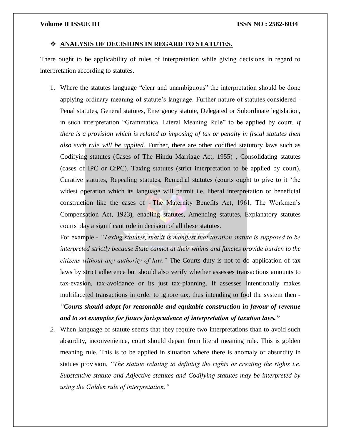#### <span id="page-11-0"></span>**ANALYSIS OF DECISIONS IN REGARD TO STATUTES.**

There ought to be applicability of rules of interpretation while giving decisions in regard to interpretation according to statutes.

1. Where the statutes language "clear and unambiguous" the interpretation should be done applying ordinary meaning of statute's language. Further nature of statutes considered - Penal statutes, General statutes, Emergency statute, Delegated or Subordinate legislation, in such interpretation "Grammatical Literal Meaning Rule" to be applied by court. *If there is a provision which is related to imposing of tax or penalty in fiscal statutes then also such rule will be applied.* Further, there are other codified statutory laws such as Codifying statutes (Cases of The Hindu Marriage Act, 1955) , Consolidating statutes (cases of IPC or CrPC), Taxing statutes (strict interpretation to be applied by court), Curative statutes, Repealing statutes, Remedial statutes (courts ought to give to it 'the widest operation which its language will permit i.e. liberal interpretation or beneficial construction like the cases of - The Maternity Benefits Act, 1961, The Workmen's Compensation Act, 1923), enabling statutes, Amending statutes, Explanatory statutes courts play a significant role in decision of all these statutes.

For example - *"Taxing statutes, that it is manifest that taxation statute is supposed to be interpreted strictly because State cannot at their whims and fancies provide burden to the citizens without any authority of law."* The Courts duty is not to do application of tax laws by strict adherence but should also verify whether assesses transactions amounts to tax-evasion, tax-avoidance or its just tax-planning. If assesses intentionally makes multifaceted transactions in order to ignore tax, thus intending to fool the system then -

*"Courts should adopt for reasonable and equitable construction in favour of revenue and to set examples for future jurisprudence of interpretation of taxation laws."*

*2.* When language of statute seems that they require two interpretations than to avoid such absurdity, inconvenience, court should depart from literal meaning rule. This is golden meaning rule. This is to be applied in situation where there is anomaly or absurdity in statues provision. *"The statute relating to defining the rights or creating the rights i.e. Substantive statute and Adjective statutes and Codifying statutes may be interpreted by using the Golden rule of interpretation."*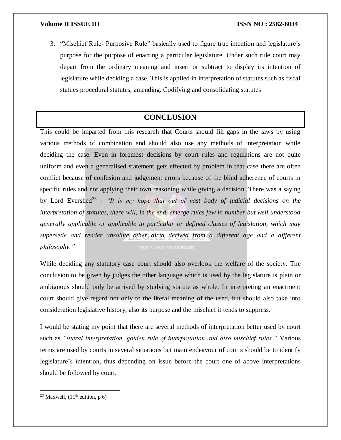3. "Mischief Rule- Purposive Rule" basically used to figure true intention and legislature's purpose for the purpose of enacting a particular legislature. Under such rule court may depart from the ordinary meaning and insert or subtract to display its intention of legislature while deciding a case. This is applied in interpretation of statutes such as fiscal statues procedural statutes, amending. Codifying and consolidating statutes

## **CONCLUSION**

<span id="page-12-0"></span>This could be imparted from this research that Courts should fill gaps in the laws by using various methods of combination and should also use any methods of interpretation while deciding the case. Even in foremost decisions by court rules and regulations are not quite uniform and even a generalised statement gets effected by problem in that case there are often conflict because of confusion and judgement errors because of the blind adherence of courts in specific rules and not applying their own reasoning while giving a decision. There was a saying by Lord Evershed<sup>23</sup> - "It is my hope that out of vast body of judicial decisions on the *interpretation of statutes, there will, in the end, emerge rules few in number but well understood generally applicable or applicable to particular or defined classes of legislation, which may supersede and render absolute other dicta derived from a different age and a different philosophy."*

While deciding any statutory case court should also overlook the welfare of the society. The conclusion to be given by judges the other language which is used by the legislature is plain or ambiguous should only be arrived by studying statute as whole. In interpreting an enactment court should give regard not only to the literal meaning of the used, but should also take into consideration legislative history, also its purpose and the mischief it tends to suppress.

I would be stating my point that there are several methods of interpretation better used by court such as *"literal interpretation, golden rule of interpretation and also mischief rules."* Various terms are used by courts in several situations but main endeavour of courts should be to identify legislature's intention, thus depending on issue before the court one of above interpretations should be followed by court.

 $\overline{a}$ 

<sup>&</sup>lt;sup>23</sup> Maxwell,  $(11<sup>th</sup>$  edition, p.6)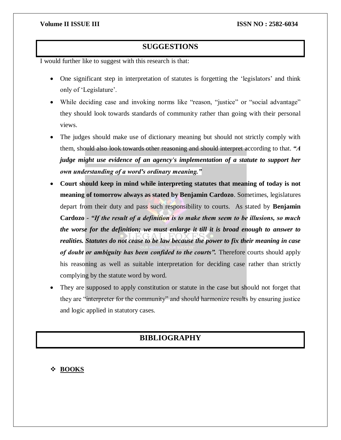## **SUGGESTIONS**

<span id="page-13-0"></span>I would further like to suggest with this research is that:

- One significant step in interpretation of statutes is forgetting the 'legislators' and think only of 'Legislature'.
- While deciding case and invoking norms like "reason, "justice" or "social advantage" they should look towards standards of community rather than going with their personal views.
- The judges should make use of dictionary meaning but should not strictly comply with them, should also look towards other reasoning and should interpret according to that. *"A judge might use evidence of an agency's implementation of a statute to support her own understanding of a word's ordinary meaning."*
- **Court should keep in mind while interpreting statutes that meaning of today is not meaning of tomorrow always as stated by Benjamin Cardozo**. Sometimes, legislatures depart from their duty and pass such responsibility to courts. As stated by **Benjamin Cardozo** - *"If the result of a definition is to make them seem to be illusions, so much the worse for the definition; we must enlarge it till it is broad enough to answer to realities. Statutes do not cease to be law because the power to fix their meaning in case of doubt or ambiguity has been confided to the courts".* Therefore courts should apply his reasoning as well as suitable interpretation for deciding case rather than strictly complying by the statute word by word.
- <span id="page-13-1"></span> They are supposed to apply constitution or statute in the case but should not forget that they are "interpreter for the community" and should harmonize results by ensuring justice and logic applied in statutory cases.

## **BIBLIOGRAPHY**

**BOOKS**